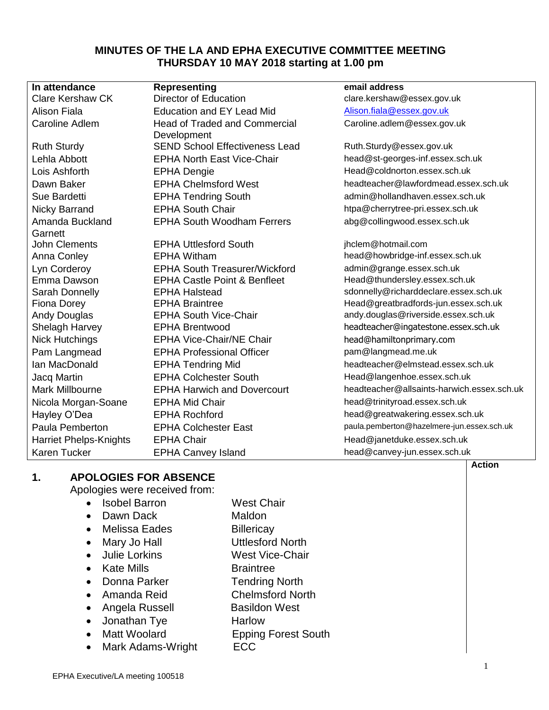## **MINUTES OF THE LA AND EPHA EXECUTIVE COMMITTEE MEETING THURSDAY 10 MAY 2018 starting at 1.00 pm**

| In attendance                 | Representing                            | email address                              |
|-------------------------------|-----------------------------------------|--------------------------------------------|
| <b>Clare Kershaw CK</b>       | <b>Director of Education</b>            | clare.kershaw@essex.gov.uk                 |
| <b>Alison Fiala</b>           | <b>Education and EY Lead Mid</b>        | Alison.fiala@essex.gov.uk                  |
| <b>Caroline Adlem</b>         | <b>Head of Traded and Commercial</b>    | Caroline.adlem@essex.gov.uk                |
|                               | Development                             |                                            |
| <b>Ruth Sturdy</b>            | <b>SEND School Effectiveness Lead</b>   | Ruth.Sturdy@essex.gov.uk                   |
| Lehla Abbott                  | <b>EPHA North East Vice-Chair</b>       | head@st-georges-inf.essex.sch.uk           |
| Lois Ashforth                 | <b>EPHA Dengie</b>                      | Head@coldnorton.essex.sch.uk               |
| Dawn Baker                    | <b>EPHA Chelmsford West</b>             | headteacher@lawfordmead.essex.sch.uk       |
| Sue Bardetti                  | <b>EPHA Tendring South</b>              | admin@hollandhaven.essex.sch.uk            |
| <b>Nicky Barrand</b>          | <b>EPHA South Chair</b>                 | htpa@cherrytree-pri.essex.sch.uk           |
| Amanda Buckland               | <b>EPHA South Woodham Ferrers</b>       | abg@collingwood.essex.sch.uk               |
| Garnett                       |                                         |                                            |
| <b>John Clements</b>          | <b>EPHA Uttlesford South</b>            | jhclem@hotmail.com                         |
| Anna Conley                   | <b>EPHA Witham</b>                      | head@howbridge-inf.essex.sch.uk            |
| Lyn Corderoy                  | <b>EPHA South Treasurer/Wickford</b>    | admin@grange.essex.sch.uk                  |
| Emma Dawson                   | <b>EPHA Castle Point &amp; Benfleet</b> | Head@thundersley.essex.sch.uk              |
| Sarah Donnelly                | <b>EPHA Halstead</b>                    | sdonnelly@richarddeclare.essex.sch.uk      |
| <b>Fiona Dorey</b>            | <b>EPHA Braintree</b>                   | Head@greatbradfords-jun.essex.sch.uk       |
| Andy Douglas                  | <b>EPHA South Vice-Chair</b>            | andy.douglas@riverside.essex.sch.uk        |
| Shelagh Harvey                | <b>EPHA Brentwood</b>                   | headteacher@ingatestone.essex.sch.uk       |
| <b>Nick Hutchings</b>         | <b>EPHA Vice-Chair/NE Chair</b>         | head@hamiltonprimary.com                   |
| Pam Langmead                  | <b>EPHA Professional Officer</b>        | pam@langmead.me.uk                         |
| Ian MacDonald                 | <b>EPHA Tendring Mid</b>                | headteacher@elmstead.essex.sch.uk          |
| Jacq Martin                   | <b>EPHA Colchester South</b>            | Head@langenhoe.essex.sch.uk                |
| Mark Millbourne               | <b>EPHA Harwich and Dovercourt</b>      | headteacher@allsaints-harwich.essex.sch.uk |
| Nicola Morgan-Soane           | <b>EPHA Mid Chair</b>                   | head@trinityroad.essex.sch.uk              |
| Hayley O'Dea                  | <b>EPHA Rochford</b>                    | head@greatwakering.essex.sch.uk            |
| Paula Pemberton               | <b>EPHA Colchester East</b>             | paula.pemberton@hazelmere-jun.essex.sch.uk |
| <b>Harriet Phelps-Knights</b> | <b>EPHA Chair</b>                       | Head@janetduke.essex.sch.uk                |
| <b>Karen Tucker</b>           | <b>EPHA Canvey Island</b>               | head@canvey-jun.essex.sch.uk               |

# **1. APOLOGIES FOR ABSENCE**

Apologies were received from:

- Isobel Barron West Chair • Dawn Dack Maldon
- Melissa Eades Billericay
- Mary Jo Hall **Uttlesford North**
- Julie Lorkins West Vice-Chair
- Kate Mills Braintree
- Donna Parker Tendring North
- Amanda Reid Chelmsford North
- Angela Russell Basildon West
- Jonathan Tye **Harlow**
- Matt Woolard **Epping Forest South**
- Mark Adams-Wright ECC

**Action**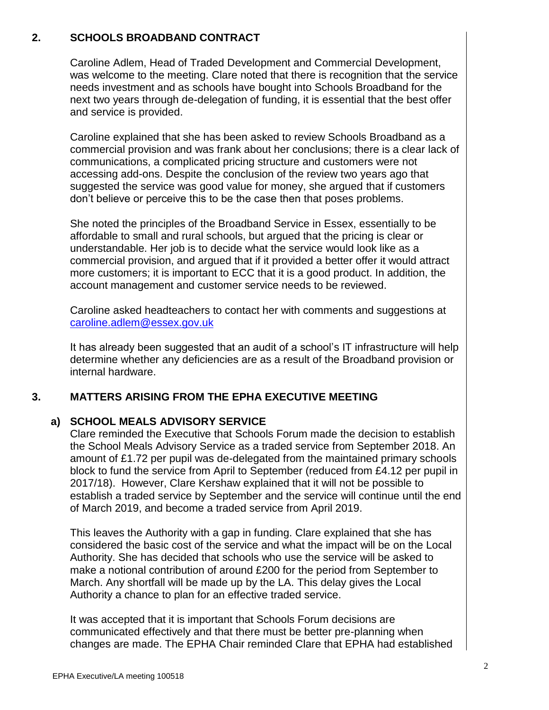# **2. SCHOOLS BROADBAND CONTRACT**

Caroline Adlem, Head of Traded Development and Commercial Development, was welcome to the meeting. Clare noted that there is recognition that the service needs investment and as schools have bought into Schools Broadband for the next two years through de-delegation of funding, it is essential that the best offer and service is provided.

Caroline explained that she has been asked to review Schools Broadband as a commercial provision and was frank about her conclusions; there is a clear lack of communications, a complicated pricing structure and customers were not accessing add-ons. Despite the conclusion of the review two years ago that suggested the service was good value for money, she argued that if customers don't believe or perceive this to be the case then that poses problems.

She noted the principles of the Broadband Service in Essex, essentially to be affordable to small and rural schools, but argued that the pricing is clear or understandable. Her job is to decide what the service would look like as a commercial provision, and argued that if it provided a better offer it would attract more customers; it is important to ECC that it is a good product. In addition, the account management and customer service needs to be reviewed.

Caroline asked headteachers to contact her with comments and suggestions at [caroline.adlem@essex.gov.uk](mailto:caroline.adlem@essex.gov.uk)

It has already been suggested that an audit of a school's IT infrastructure will help determine whether any deficiencies are as a result of the Broadband provision or internal hardware.

#### **3. MATTERS ARISING FROM THE EPHA EXECUTIVE MEETING**

## **a) SCHOOL MEALS ADVISORY SERVICE**

Clare reminded the Executive that Schools Forum made the decision to establish the School Meals Advisory Service as a traded service from September 2018. An amount of £1.72 per pupil was de-delegated from the maintained primary schools block to fund the service from April to September (reduced from £4.12 per pupil in 2017/18). However, Clare Kershaw explained that it will not be possible to establish a traded service by September and the service will continue until the end of March 2019, and become a traded service from April 2019.

This leaves the Authority with a gap in funding. Clare explained that she has considered the basic cost of the service and what the impact will be on the Local Authority. She has decided that schools who use the service will be asked to make a notional contribution of around £200 for the period from September to March. Any shortfall will be made up by the LA. This delay gives the Local Authority a chance to plan for an effective traded service.

It was accepted that it is important that Schools Forum decisions are communicated effectively and that there must be better pre-planning when changes are made. The EPHA Chair reminded Clare that EPHA had established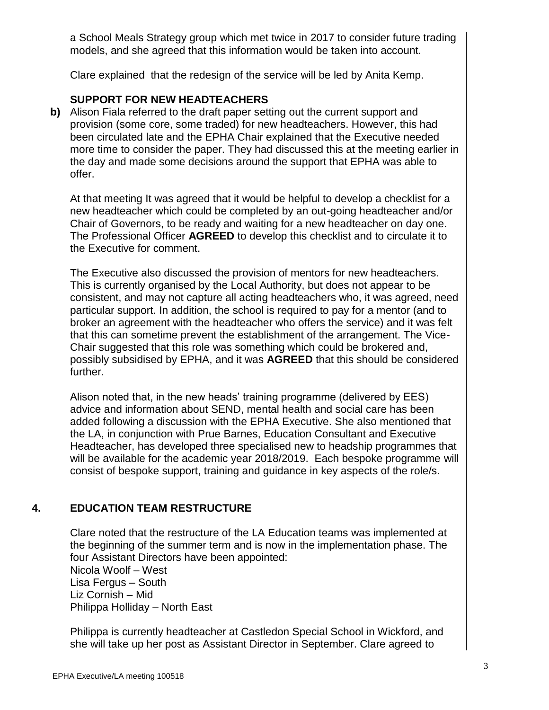a School Meals Strategy group which met twice in 2017 to consider future trading models, and she agreed that this information would be taken into account.

Clare explained that the redesign of the service will be led by Anita Kemp.

# **SUPPORT FOR NEW HEADTEACHERS**

**b)** Alison Fiala referred to the draft paper setting out the current support and provision (some core, some traded) for new headteachers. However, this had been circulated late and the EPHA Chair explained that the Executive needed more time to consider the paper. They had discussed this at the meeting earlier in the day and made some decisions around the support that EPHA was able to offer.

At that meeting It was agreed that it would be helpful to develop a checklist for a new headteacher which could be completed by an out-going headteacher and/or Chair of Governors, to be ready and waiting for a new headteacher on day one. The Professional Officer **AGREED** to develop this checklist and to circulate it to the Executive for comment.

The Executive also discussed the provision of mentors for new headteachers. This is currently organised by the Local Authority, but does not appear to be consistent, and may not capture all acting headteachers who, it was agreed, need particular support. In addition, the school is required to pay for a mentor (and to broker an agreement with the headteacher who offers the service) and it was felt that this can sometime prevent the establishment of the arrangement. The Vice-Chair suggested that this role was something which could be brokered and, possibly subsidised by EPHA, and it was **AGREED** that this should be considered further.

Alison noted that, in the new heads' training programme (delivered by EES) advice and information about SEND, mental health and social care has been added following a discussion with the EPHA Executive. She also mentioned that the LA, in conjunction with Prue Barnes, Education Consultant and Executive Headteacher, has developed three specialised new to headship programmes that will be available for the academic year 2018/2019. Each bespoke programme will consist of bespoke support, training and guidance in key aspects of the role/s.

# **4. EDUCATION TEAM RESTRUCTURE**

Clare noted that the restructure of the LA Education teams was implemented at the beginning of the summer term and is now in the implementation phase. The four Assistant Directors have been appointed: Nicola Woolf – West Lisa Fergus – South Liz Cornish – Mid Philippa Holliday – North East

Philippa is currently headteacher at Castledon Special School in Wickford, and she will take up her post as Assistant Director in September. Clare agreed to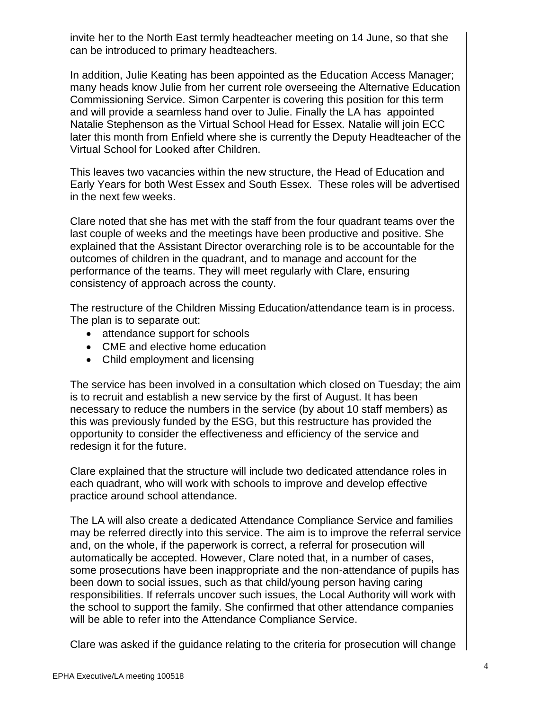invite her to the North East termly headteacher meeting on 14 June, so that she can be introduced to primary headteachers.

In addition, Julie Keating has been appointed as the Education Access Manager; many heads know Julie from her current role overseeing the Alternative Education Commissioning Service. Simon Carpenter is covering this position for this term and will provide a seamless hand over to Julie. Finally the LA has appointed Natalie Stephenson as the Virtual School Head for Essex. Natalie will join ECC later this month from Enfield where she is currently the Deputy Headteacher of the Virtual School for Looked after Children.

This leaves two vacancies within the new structure, the Head of Education and Early Years for both West Essex and South Essex. These roles will be advertised in the next few weeks.

Clare noted that she has met with the staff from the four quadrant teams over the last couple of weeks and the meetings have been productive and positive. She explained that the Assistant Director overarching role is to be accountable for the outcomes of children in the quadrant, and to manage and account for the performance of the teams. They will meet regularly with Clare, ensuring consistency of approach across the county.

The restructure of the Children Missing Education/attendance team is in process. The plan is to separate out:

- attendance support for schools
- CME and elective home education
- Child employment and licensing

The service has been involved in a consultation which closed on Tuesday; the aim is to recruit and establish a new service by the first of August. It has been necessary to reduce the numbers in the service (by about 10 staff members) as this was previously funded by the ESG, but this restructure has provided the opportunity to consider the effectiveness and efficiency of the service and redesign it for the future.

Clare explained that the structure will include two dedicated attendance roles in each quadrant, who will work with schools to improve and develop effective practice around school attendance.

The LA will also create a dedicated Attendance Compliance Service and families may be referred directly into this service. The aim is to improve the referral service and, on the whole, if the paperwork is correct, a referral for prosecution will automatically be accepted. However, Clare noted that, in a number of cases, some prosecutions have been inappropriate and the non-attendance of pupils has been down to social issues, such as that child/young person having caring responsibilities. If referrals uncover such issues, the Local Authority will work with the school to support the family. She confirmed that other attendance companies will be able to refer into the Attendance Compliance Service.

Clare was asked if the guidance relating to the criteria for prosecution will change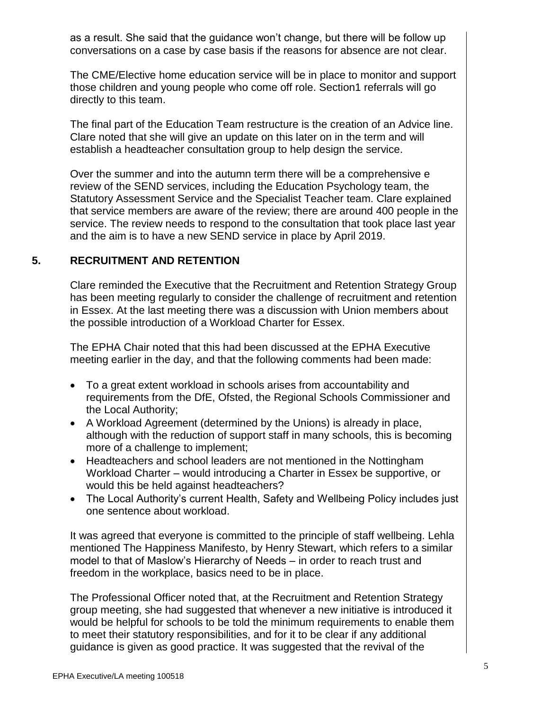as a result. She said that the guidance won't change, but there will be follow up conversations on a case by case basis if the reasons for absence are not clear.

The CME/Elective home education service will be in place to monitor and support those children and young people who come off role. Section1 referrals will go directly to this team.

The final part of the Education Team restructure is the creation of an Advice line. Clare noted that she will give an update on this later on in the term and will establish a headteacher consultation group to help design the service.

Over the summer and into the autumn term there will be a comprehensive e review of the SEND services, including the Education Psychology team, the Statutory Assessment Service and the Specialist Teacher team. Clare explained that service members are aware of the review; there are around 400 people in the service. The review needs to respond to the consultation that took place last year and the aim is to have a new SEND service in place by April 2019.

# **5. RECRUITMENT AND RETENTION**

Clare reminded the Executive that the Recruitment and Retention Strategy Group has been meeting regularly to consider the challenge of recruitment and retention in Essex. At the last meeting there was a discussion with Union members about the possible introduction of a Workload Charter for Essex.

The EPHA Chair noted that this had been discussed at the EPHA Executive meeting earlier in the day, and that the following comments had been made:

- To a great extent workload in schools arises from accountability and requirements from the DfE, Ofsted, the Regional Schools Commissioner and the Local Authority;
- A Workload Agreement (determined by the Unions) is already in place, although with the reduction of support staff in many schools, this is becoming more of a challenge to implement;
- Headteachers and school leaders are not mentioned in the Nottingham Workload Charter – would introducing a Charter in Essex be supportive, or would this be held against headteachers?
- The Local Authority's current Health, Safety and Wellbeing Policy includes just one sentence about workload.

It was agreed that everyone is committed to the principle of staff wellbeing. Lehla mentioned The Happiness Manifesto, by Henry Stewart, which refers to a similar model to that of Maslow's Hierarchy of Needs – in order to reach trust and freedom in the workplace, basics need to be in place.

The Professional Officer noted that, at the Recruitment and Retention Strategy group meeting, she had suggested that whenever a new initiative is introduced it would be helpful for schools to be told the minimum requirements to enable them to meet their statutory responsibilities, and for it to be clear if any additional guidance is given as good practice. It was suggested that the revival of the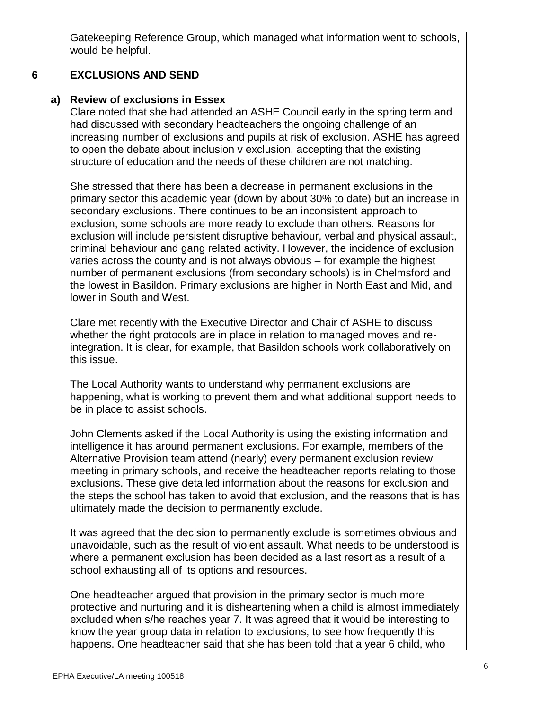Gatekeeping Reference Group, which managed what information went to schools, would be helpful.

#### **6 EXCLUSIONS AND SEND**

## **a) Review of exclusions in Essex**

Clare noted that she had attended an ASHE Council early in the spring term and had discussed with secondary headteachers the ongoing challenge of an increasing number of exclusions and pupils at risk of exclusion. ASHE has agreed to open the debate about inclusion v exclusion, accepting that the existing structure of education and the needs of these children are not matching.

She stressed that there has been a decrease in permanent exclusions in the primary sector this academic year (down by about 30% to date) but an increase in secondary exclusions. There continues to be an inconsistent approach to exclusion, some schools are more ready to exclude than others. Reasons for exclusion will include persistent disruptive behaviour, verbal and physical assault, criminal behaviour and gang related activity. However, the incidence of exclusion varies across the county and is not always obvious – for example the highest number of permanent exclusions (from secondary schools) is in Chelmsford and the lowest in Basildon. Primary exclusions are higher in North East and Mid, and lower in South and West.

Clare met recently with the Executive Director and Chair of ASHE to discuss whether the right protocols are in place in relation to managed moves and reintegration. It is clear, for example, that Basildon schools work collaboratively on this issue.

The Local Authority wants to understand why permanent exclusions are happening, what is working to prevent them and what additional support needs to be in place to assist schools.

John Clements asked if the Local Authority is using the existing information and intelligence it has around permanent exclusions. For example, members of the Alternative Provision team attend (nearly) every permanent exclusion review meeting in primary schools, and receive the headteacher reports relating to those exclusions. These give detailed information about the reasons for exclusion and the steps the school has taken to avoid that exclusion, and the reasons that is has ultimately made the decision to permanently exclude.

It was agreed that the decision to permanently exclude is sometimes obvious and unavoidable, such as the result of violent assault. What needs to be understood is where a permanent exclusion has been decided as a last resort as a result of a school exhausting all of its options and resources.

One headteacher argued that provision in the primary sector is much more protective and nurturing and it is disheartening when a child is almost immediately excluded when s/he reaches year 7. It was agreed that it would be interesting to know the year group data in relation to exclusions, to see how frequently this happens. One headteacher said that she has been told that a year 6 child, who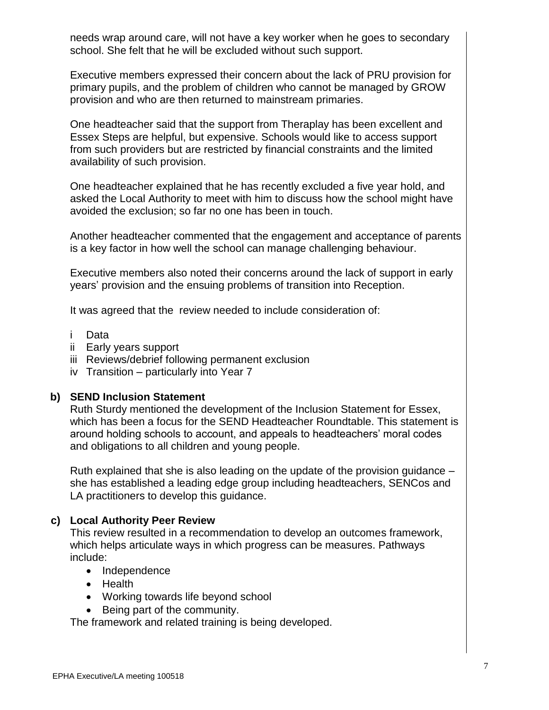needs wrap around care, will not have a key worker when he goes to secondary school. She felt that he will be excluded without such support.

Executive members expressed their concern about the lack of PRU provision for primary pupils, and the problem of children who cannot be managed by GROW provision and who are then returned to mainstream primaries.

One headteacher said that the support from Theraplay has been excellent and Essex Steps are helpful, but expensive. Schools would like to access support from such providers but are restricted by financial constraints and the limited availability of such provision.

One headteacher explained that he has recently excluded a five year hold, and asked the Local Authority to meet with him to discuss how the school might have avoided the exclusion; so far no one has been in touch.

Another headteacher commented that the engagement and acceptance of parents is a key factor in how well the school can manage challenging behaviour.

Executive members also noted their concerns around the lack of support in early years' provision and the ensuing problems of transition into Reception.

It was agreed that the review needed to include consideration of:

- i Data
- ii Early years support
- iii Reviews/debrief following permanent exclusion
- iv Transition particularly into Year 7

### **b) SEND Inclusion Statement**

Ruth Sturdy mentioned the development of the Inclusion Statement for Essex, which has been a focus for the SEND Headteacher Roundtable. This statement is around holding schools to account, and appeals to headteachers' moral codes and obligations to all children and young people.

Ruth explained that she is also leading on the update of the provision guidance – she has established a leading edge group including headteachers, SENCos and LA practitioners to develop this guidance.

## **c) Local Authority Peer Review**

This review resulted in a recommendation to develop an outcomes framework, which helps articulate ways in which progress can be measures. Pathways include:

- Independence
- Health
- Working towards life beyond school
- Being part of the community.

The framework and related training is being developed.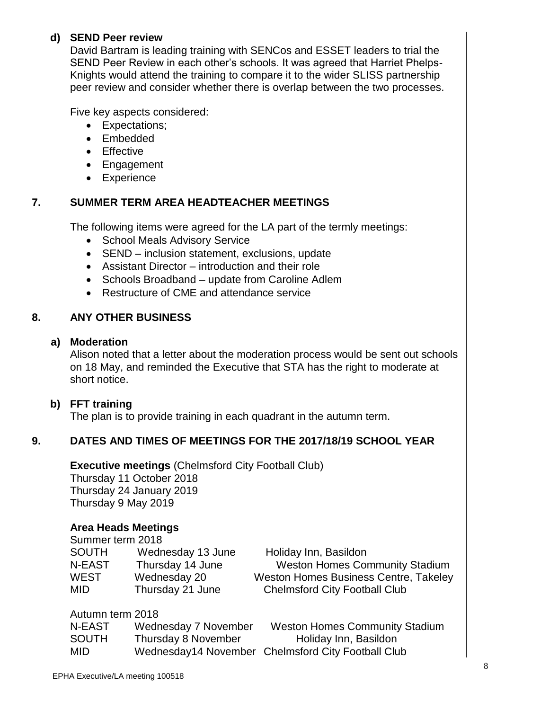## **d) SEND Peer review**

David Bartram is leading training with SENCos and ESSET leaders to trial the SEND Peer Review in each other's schools. It was agreed that Harriet Phelps-Knights would attend the training to compare it to the wider SLISS partnership peer review and consider whether there is overlap between the two processes.

Five key aspects considered:

- Expectations:
- Embedded
- **•** Effective
- Engagement
- Experience

# **7. SUMMER TERM AREA HEADTEACHER MEETINGS**

The following items were agreed for the LA part of the termly meetings:

- School Meals Advisory Service
- SEND inclusion statement, exclusions, update
- Assistant Director introduction and their role
- Schools Broadband update from Caroline Adlem
- Restructure of CME and attendance service

#### **8. ANY OTHER BUSINESS**

### **a) Moderation**

Alison noted that a letter about the moderation process would be sent out schools on 18 May, and reminded the Executive that STA has the right to moderate at short notice.

## **b) FFT training**

The plan is to provide training in each quadrant in the autumn term.

# **9. DATES AND TIMES OF MEETINGS FOR THE 2017/18/19 SCHOOL YEAR**

**Executive meetings** (Chelmsford City Football Club) Thursday 11 October 2018 Thursday 24 January 2019 Thursday 9 May 2019

## **Area Heads Meetings**

| Summer term 2018 |                   |                                              |
|------------------|-------------------|----------------------------------------------|
| <b>SOUTH</b>     | Wednesday 13 June | Holiday Inn, Basildon                        |
| N-EAST           | Thursday 14 June  | <b>Weston Homes Community Stadium</b>        |
| <b>WEST</b>      | Wednesday 20      | <b>Weston Homes Business Centre, Takeley</b> |
| MID.             | Thursday 21 June  | <b>Chelmsford City Football Club</b>         |
|                  |                   |                                              |

### Autumn term 2018

| N-EAST       | Wednesday 7 November | <b>Weston Homes Community Stadium</b>              |
|--------------|----------------------|----------------------------------------------------|
| <b>SOUTH</b> | Thursday 8 November  | Holiday Inn, Basildon                              |
| MID          |                      | Wednesday14 November Chelmsford City Football Club |